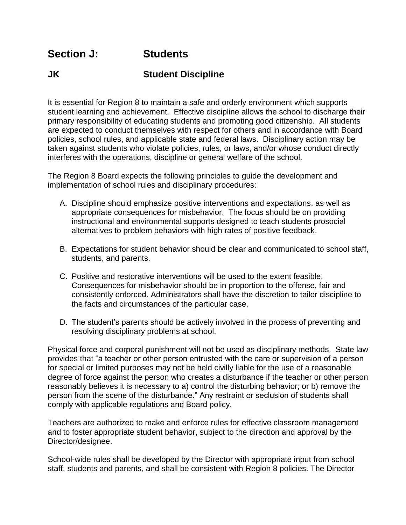## **Section J: Students**

## **JK Student Discipline**

It is essential for Region 8 to maintain a safe and orderly environment which supports student learning and achievement. Effective discipline allows the school to discharge their primary responsibility of educating students and promoting good citizenship. All students are expected to conduct themselves with respect for others and in accordance with Board policies, school rules, and applicable state and federal laws. Disciplinary action may be taken against students who violate policies, rules, or laws, and/or whose conduct directly interferes with the operations, discipline or general welfare of the school.

The Region 8 Board expects the following principles to guide the development and implementation of school rules and disciplinary procedures:

- A. Discipline should emphasize positive interventions and expectations, as well as appropriate consequences for misbehavior. The focus should be on providing instructional and environmental supports designed to teach students prosocial alternatives to problem behaviors with high rates of positive feedback.
- B. Expectations for student behavior should be clear and communicated to school staff, students, and parents.
- C. Positive and restorative interventions will be used to the extent feasible. Consequences for misbehavior should be in proportion to the offense, fair and consistently enforced. Administrators shall have the discretion to tailor discipline to the facts and circumstances of the particular case.
- D. The student's parents should be actively involved in the process of preventing and resolving disciplinary problems at school.

Physical force and corporal punishment will not be used as disciplinary methods. State law provides that "a teacher or other person entrusted with the care or supervision of a person for special or limited purposes may not be held civilly liable for the use of a reasonable degree of force against the person who creates a disturbance if the teacher or other person reasonably believes it is necessary to a) control the disturbing behavior; or b) remove the person from the scene of the disturbance." Any restraint or seclusion of students shall comply with applicable regulations and Board policy.

Teachers are authorized to make and enforce rules for effective classroom management and to foster appropriate student behavior, subject to the direction and approval by the Director/designee.

School-wide rules shall be developed by the Director with appropriate input from school staff, students and parents, and shall be consistent with Region 8 policies. The Director